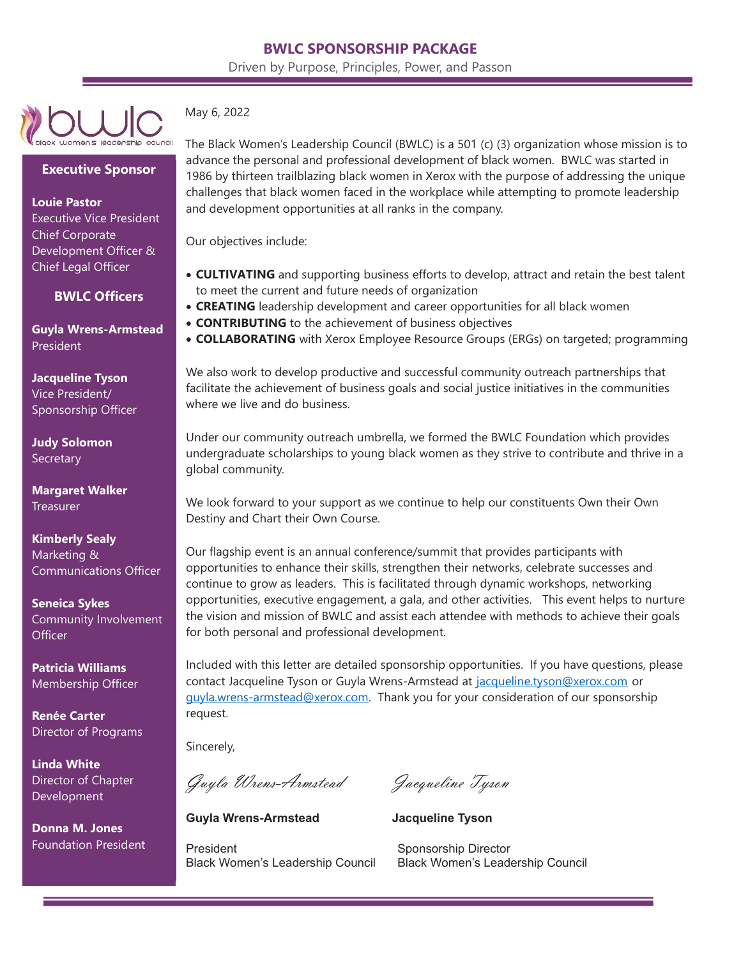

#### **Executive Sponsor**

#### **Louie Pastor**

Executive Vice President Chief Corporate Development Officer & Chief Legal Officer

### **BWLC Officers**

**Guyla Wrens-Armstead** President

**Jacqueline Tyson** Vice President/ Sponsorship Officer

**Judy Solomon Secretary** 

**Margaret Walker Treasurer** 

**Kimberly Sealy** Marketing & Communications Officer

**Seneica Sykes** Community Involvement **Officer** 

**Patricia Williams** Membership Officer

**Renée Carter** Director of Programs

**Linda White** Director of Chapter Development

**Donna M. Jones** Foundation President May 6, 2022

The Black Women's Leadership Council (BWLC) is a 501 (c) (3) organization whose mission is to advance the personal and professional development of black women. BWLC was started in 1986 by thirteen trailblazing black women in Xerox with the purpose of addressing the unique challenges that black women faced in the workplace while attempting to promote leadership and development opportunities at all ranks in the company.

Our objectives include:

- **CULTIVATING** and supporting business efforts to develop, attract and retain the best talent to meet the current and future needs of organization
- **CREATING** leadership development and career opportunities for all black women
- **CONTRIBUTING** to the achievement of business objectives
- **COLLABORATING** with Xerox Employee Resource Groups (ERGs) on targeted; programming

We also work to develop productive and successful community outreach partnerships that facilitate the achievement of business goals and social justice initiatives in the communities where we live and do business.

Under our community outreach umbrella, we formed the BWLC Foundation which provides undergraduate scholarships to young black women as they strive to contribute and thrive in a global community.

We look forward to your support as we continue to help our constituents Own their Own Destiny and Chart their Own Course.

Our flagship event is an annual conference/summit that provides participants with opportunities to enhance their skills, strengthen their networks, celebrate successes and continue to grow as leaders. This is facilitated through dynamic workshops, networking opportunities, executive engagement, a gala, and other activities. This event helps to nurture the vision and mission of BWLC and assist each attendee with methods to achieve their goals for both personal and professional development.

Included with this letter are detailed sponsorship opportunities. If you have questions, please contact Jacqueline Tyson or Guyla Wrens-Armstead at [jacqueline.tyson@xerox.com](mailto:jacqueline.tyson@xerox.com) or [guyla.wrens-armstead@xerox.com.](mailto:guyla.wrens-armstead@xerox.com) Thank you for your consideration of our sponsorship request.

Sincerely,

Guyla Wrens-Armstead Jacqueline Tyson

**Guyla Wrens-Armstead Jacqueline Tyson**

President **Sponsorship Director** 

Black Women's Leadership Council Black Women's Leadership Council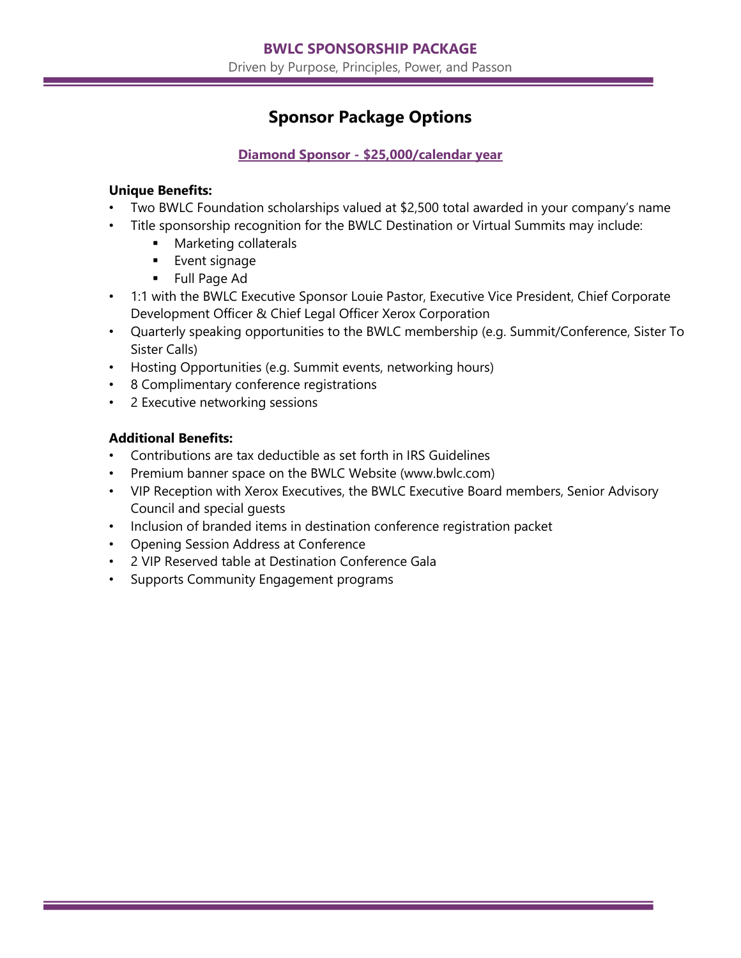## **Sponsor Package Options**

## **Diamond Sponsor - \$25,000/calendar year**

### **Unique Benefits:**

- Two BWLC Foundation scholarships valued at \$2,500 total awarded in your company's name
- Title sponsorship recognition for the BWLC Destination or Virtual Summits may include:
	- Marketing collaterals
	- **Exent signage**
	- Full Page Ad
- 1:1 with the BWLC Executive Sponsor Louie Pastor, Executive Vice President, Chief Corporate Development Officer & Chief Legal Officer Xerox Corporation
- Quarterly speaking opportunities to the BWLC membership (e.g. Summit/Conference, Sister To Sister Calls)
- Hosting Opportunities (e.g. Summit events, networking hours)
- 8 Complimentary conference registrations
- 2 Executive networking sessions

## **Additional Benefits:**

- Contributions are tax deductible as set forth in IRS Guidelines
- Premium banner space on the BWLC Website [\(www.bwlc.com\)](http://www.bwlc.com/)
- VIP Reception with Xerox Executives, the BWLC Executive Board members, Senior Advisory Council and special guests
- Inclusion of branded items in destination conference registration packet
- Opening Session Address at Conference
- 2 VIP Reserved table at Destination Conference Gala
- Supports Community Engagement programs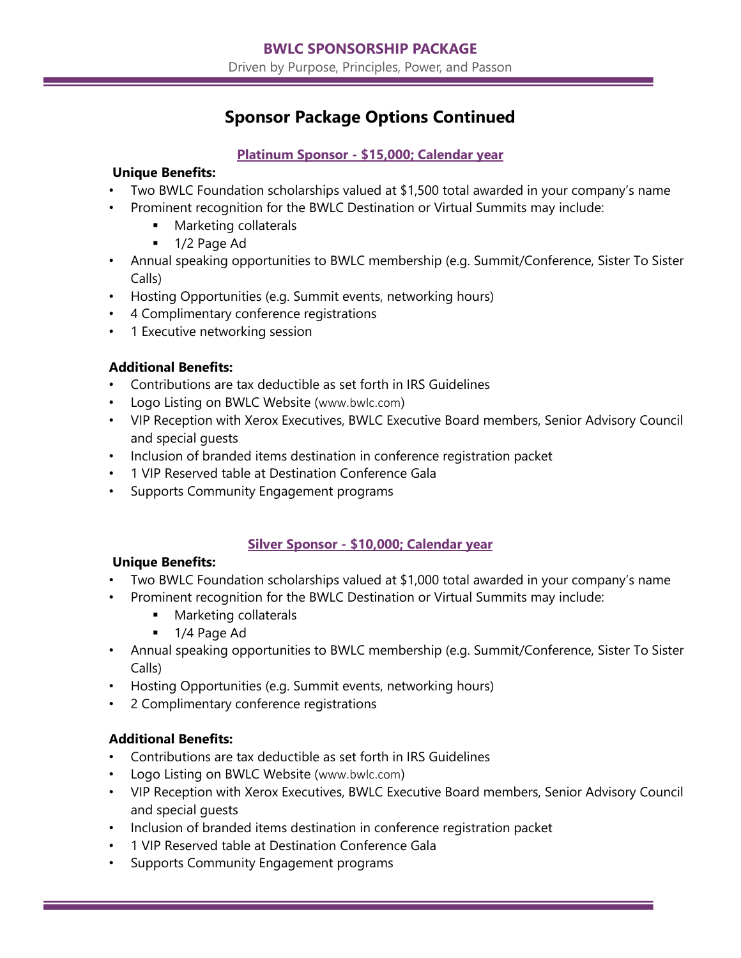# **Sponsor Package Options Continued**

## **Platinum Sponsor - \$15,000; Calendar year**

### **Unique Benefits:**

- Two BWLC Foundation scholarships valued at \$1,500 total awarded in your company's name
- Prominent recognition for the BWLC Destination or Virtual Summits may include:
	- Marketing collaterals
	- 1/2 Page Ad
- Annual speaking opportunities to BWLC membership (e.g. Summit/Conference, Sister To Sister Calls)
- Hosting Opportunities (e.g. Summit events, networking hours)
- 4 Complimentary conference registrations
- 1 Executive networking session

## **Additional Benefits:**

- Contributions are tax deductible as set forth in IRS Guidelines
- Logo Listing on BWLC Website ([www.bwlc.com](http://www.bwlc.com/))
- VIP Reception with Xerox Executives, BWLC Executive Board members, Senior Advisory Council and special guests
- Inclusion of branded items destination in conference registration packet
- 1 VIP Reserved table at Destination Conference Gala
- Supports Community Engagement programs

## **Silver Sponsor - \$10,000; Calendar year**

## **Unique Benefits:**

- Two BWLC Foundation scholarships valued at \$1,000 total awarded in your company's name
- Prominent recognition for the BWLC Destination or Virtual Summits may include:
	- Marketing collaterals
	- 1/4 Page Ad
- Annual speaking opportunities to BWLC membership (e.g. Summit/Conference, Sister To Sister Calls)
- Hosting Opportunities (e.g. Summit events, networking hours)
- 2 Complimentary conference registrations

## **Additional Benefits:**

- Contributions are tax deductible as set forth in IRS Guidelines
- Logo Listing on BWLC Website ([www.bwlc.com](http://www.bwlc.com/))
- VIP Reception with Xerox Executives, BWLC Executive Board members, Senior Advisory Council and special guests
- Inclusion of branded items destination in conference registration packet
- 1 VIP Reserved table at Destination Conference Gala
- Supports Community Engagement programs